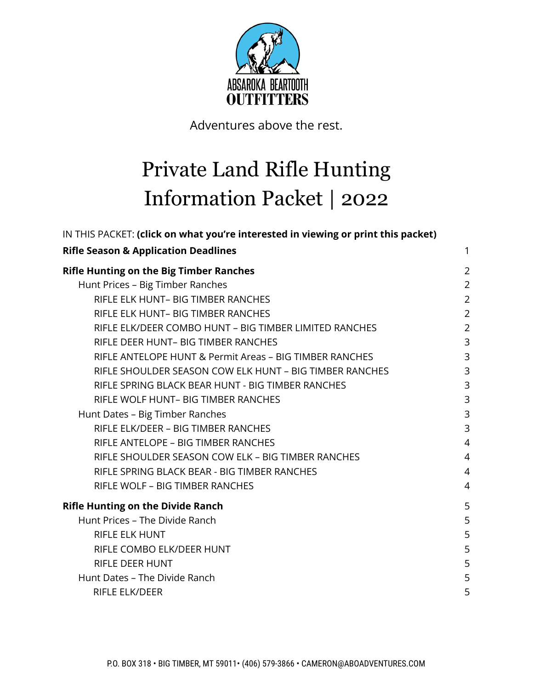

Adventures above the rest.

# Private Land Rifle Hunting Information Packet | 2022

| IN THIS PACKET: (click on what you're interested in viewing or print this packet) |                |
|-----------------------------------------------------------------------------------|----------------|
| <b>Rifle Season &amp; Application Deadlines</b>                                   | 1              |
| <b>Rifle Hunting on the Big Timber Ranches</b>                                    | $\overline{2}$ |
| Hunt Prices - Big Timber Ranches                                                  | $\overline{2}$ |
| RIFLE ELK HUNT- BIG TIMBER RANCHES                                                | $\overline{2}$ |
| RIFLE ELK HUNT- BIG TIMBER RANCHES                                                | $\overline{2}$ |
| RIFLE ELK/DEER COMBO HUNT - BIG TIMBER LIMITED RANCHES                            | $\overline{2}$ |
| RIFLE DEER HUNT- BIG TIMBER RANCHES                                               | 3              |
| RIFLE ANTELOPE HUNT & Permit Areas - BIG TIMBER RANCHES                           | 3              |
| RIFLE SHOULDER SEASON COW ELK HUNT - BIG TIMBER RANCHES                           | 3              |
| RIFLE SPRING BLACK BEAR HUNT - BIG TIMBER RANCHES                                 | 3              |
| RIFLE WOLF HUNT- BIG TIMBER RANCHES                                               | 3              |
| Hunt Dates - Big Timber Ranches                                                   | 3              |
| RIFLE ELK/DEER - BIG TIMBER RANCHES                                               | $\overline{3}$ |
| RIFLE ANTELOPE - BIG TIMBER RANCHES                                               | $\overline{4}$ |
| RIFLE SHOULDER SEASON COW ELK - BIG TIMBER RANCHES                                | $\overline{4}$ |
| RIFLE SPRING BLACK BEAR - BIG TIMBER RANCHES                                      | $\overline{4}$ |
| RIFLE WOLF - BIG TIMBER RANCHES                                                   | $\overline{4}$ |
| <b>Rifle Hunting on the Divide Ranch</b>                                          | 5              |
| Hunt Prices - The Divide Ranch                                                    | 5              |
| <b>RIFLE ELK HUNT</b>                                                             | 5              |
| RIFLE COMBO ELK/DEER HUNT                                                         | 5              |
| <b>RIFLE DEER HUNT</b>                                                            | 5              |
| Hunt Dates - The Divide Ranch                                                     | 5              |
| <b>RIFLE ELK/DEER</b>                                                             | 5              |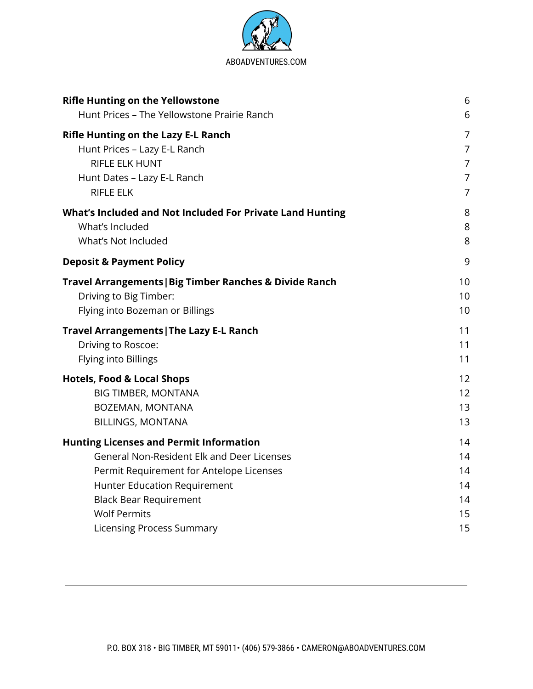

| 6                                                            |
|--------------------------------------------------------------|
| 6                                                            |
| 7<br>$\overline{7}$<br>7<br>$\overline{7}$<br>$\overline{7}$ |
| 8<br>8<br>8                                                  |
| 9                                                            |
| 10<br>10 <sup>1</sup><br>10                                  |
| 11<br>11<br>11                                               |
| 12<br>12<br>13<br>13                                         |
| 14<br>14<br>14<br>14<br>14<br>15<br>15                       |
|                                                              |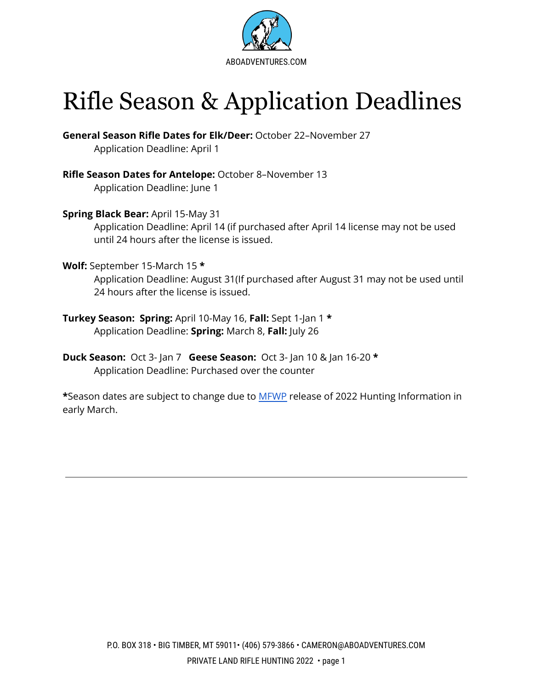

# <span id="page-2-0"></span>Rifle Season & Application Deadlines

**General Season Rifle Dates for Elk/Deer:** October 22–November 27 Application Deadline: April 1

**Rifle Season Dates for Antelope:** October 8–November 13 Application Deadline: June 1

**Spring Black Bear:** April 15-May 31

Application Deadline: April 14 (if purchased after April 14 license may not be used until 24 hours after the license is issued.

**Wolf:** September 15-March 15 **\***

Application Deadline: August 31(If purchased after August 31 may not be used until 24 hours after the license is issued.

- **Turkey Season: Spring:** April 10-May 16, **Fall:** Sept 1-Jan 1 **\*** Application Deadline: **Spring:** March 8, **Fall:** July 26
- **Duck Season:** Oct 3- Jan 7 **Geese Season:** Oct 3- Jan 10 & Jan 16-20 **\*** Application Deadline: Purchased over the counter

**\***Season dates are subject to change due to [MFWP](http://fwp.mt.gov/) release of 2022 Hunting Information in early March.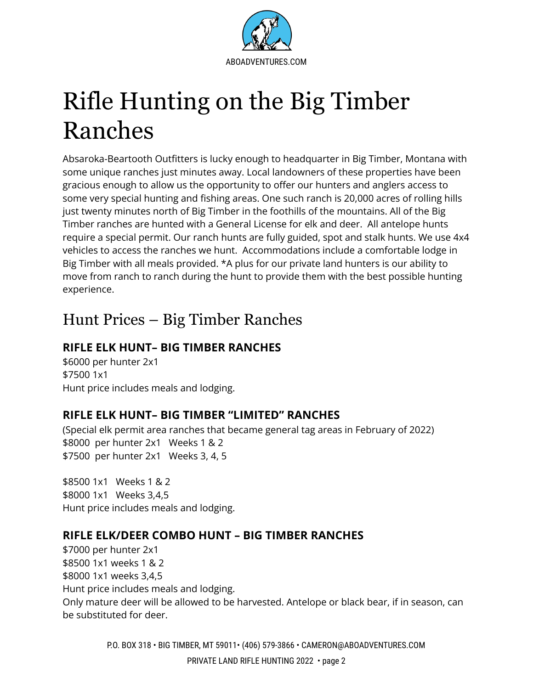

# <span id="page-3-0"></span>Rifle Hunting on the Big Timber Ranches

Absaroka-Beartooth Outfitters is lucky enough to headquarter in Big Timber, Montana with some unique ranches just minutes away. Local landowners of these properties have been gracious enough to allow us the opportunity to offer our hunters and anglers access to some very special hunting and fishing areas. One such ranch is 20,000 acres of rolling hills just twenty minutes north of Big Timber in the foothills of the mountains. All of the Big Timber ranches are hunted with a General License for elk and deer. All antelope hunts require a special permit. Our ranch hunts are fully guided, spot and stalk hunts. We use 4x4 vehicles to access the ranches we hunt. Accommodations include a comfortable lodge in Big Timber with all meals provided. \*A plus for our private land hunters is our ability to move from ranch to ranch during the hunt to provide them with the best possible hunting experience.

### <span id="page-3-1"></span>Hunt Prices – Big Timber Ranches

### <span id="page-3-2"></span>**RIFLE ELK HUNT– BIG TIMBER RANCHES**

\$6000 per hunter 2x1 \$7500 1x1 Hunt price includes meals and lodging.

### **RIFLE ELK HUNT– BIG TIMBER "LIMITED" RANCHES**

(Special elk permit area ranches that became general tag areas in February of 2022) \$8000 per hunter 2x1 Weeks 1 & 2 \$7500 per hunter 2x1 Weeks 3, 4, 5

\$8500 1x1 Weeks 1 & 2 \$8000 1x1 Weeks 3,4,5 Hunt price includes meals and lodging.

### <span id="page-3-3"></span>**RIFLE ELK/DEER COMBO HUNT – BIG TIMBER RANCHES**

\$7000 per hunter 2x1 \$8500 1x1 weeks 1 & 2 \$8000 1x1 weeks 3,4,5 Hunt price includes meals and lodging. Only mature deer will be allowed to be harvested. Antelope or black bear, if in season, can be substituted for deer.

> P.O. BOX 318 • BIG TIMBER, MT 59011• (406) 579-3866 • CAMERON@ABOADVENTURES.COM PRIVATE LAND RIFLE HUNTING 2022 • page 2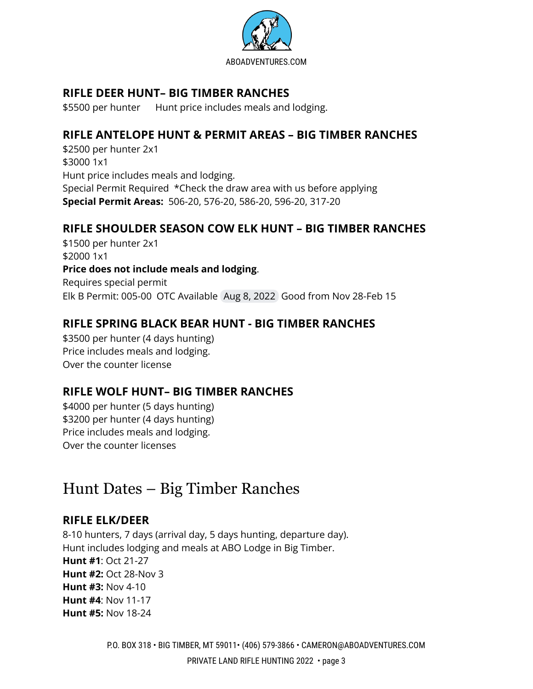

### <span id="page-4-0"></span>**RIFLE DEER HUNT– BIG TIMBER RANCHES**

\$5500 per hunter Hunt price includes meals and lodging.

### <span id="page-4-1"></span>**RIFLE ANTELOPE HUNT & PERMIT AREAS – BIG TIMBER RANCHES**

\$2500 per hunter 2x1 \$3000 1x1 Hunt price includes meals and lodging. Special Permit Required \*Check the draw area with us before applying **Special Permit Areas:** 506-20, 576-20, 586-20, 596-20, 317-20

#### <span id="page-4-2"></span>**RIFLE SHOULDER SEASON COW ELK HUNT – BIG TIMBER RANCHES**

\$1500 per hunter 2x1 \$2000 1x1 **Price does not include meals and lodging**. Requires special permit Elk B Permit: 005-00 OTC Available Aug 8, 2022 Good from Nov 28-Feb 15

### <span id="page-4-3"></span>**RIFLE SPRING BLACK BEAR HUNT - BIG TIMBER RANCHES**

\$3500 per hunter (4 days hunting) Price includes meals and lodging. Over the counter license

### <span id="page-4-4"></span>**RIFLE WOLF HUNT– BIG TIMBER RANCHES**

\$4000 per hunter (5 days hunting) \$3200 per hunter (4 days hunting) Price includes meals and lodging. Over the counter licenses

### Hunt Dates – Big Timber Ranches

#### **RIFLE ELK/DEER**

8-10 hunters, 7 days (arrival day, 5 days hunting, departure day). Hunt includes lodging and meals at ABO Lodge in Big Timber. **Hunt #1**: Oct 21-27 **Hunt #2:** Oct 28-Nov 3 **Hunt #3:** Nov 4-10 **Hunt #4**: Nov 11-17 **Hunt #5:** Nov 18-24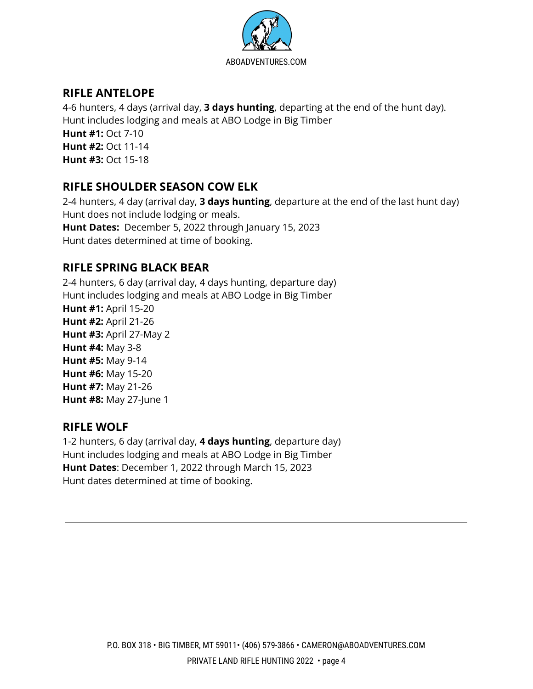

### **RIFLE ANTELOPE**

4-6 hunters, 4 days (arrival day, **3 days hunting**, departing at the end of the hunt day). Hunt includes lodging and meals at ABO Lodge in Big Timber **Hunt #1:** Oct 7-10 **Hunt #2:** Oct 11-14 **Hunt #3:** Oct 15-18

### **RIFLE SHOULDER SEASON COW ELK**

2-4 hunters, 4 day (arrival day, **3 days hunting**, departure at the end of the last hunt day) Hunt does not include lodging or meals. **Hunt Dates:** December 5, 2022 through January 15, 2023 Hunt dates determined at time of booking.

### **RIFLE SPRING BLACK BEAR**

2-4 hunters, 6 day (arrival day, 4 days hunting, departure day) Hunt includes lodging and meals at ABO Lodge in Big Timber **Hunt #1:** April 15-20 **Hunt #2:** April 21-26 **Hunt #3:** April 27-May 2 **Hunt #4:** May 3-8 **Hunt #5:** May 9-14 **Hunt #6:** May 15-20 **Hunt #7:** May 21-26 **Hunt #8:** May 27-June 1

#### **RIFLE WOLF**

1-2 hunters, 6 day (arrival day, **4 days hunting**, departure day) Hunt includes lodging and meals at ABO Lodge in Big Timber **Hunt Dates**: December 1, 2022 through March 15, 2023 Hunt dates determined at time of booking.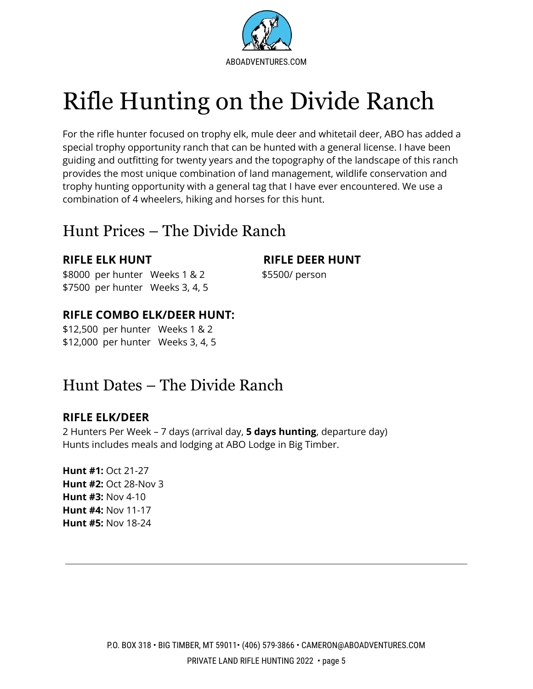

# <span id="page-6-0"></span>Rifle Hunting on the Divide Ranch

For the rifle hunter focused on trophy elk, mule deer and whitetail deer, ABO has added a special trophy opportunity ranch that can be hunted with a general license. I have been guiding and outfitting for twenty years and the topography of the landscape of this ranch provides the most unique combination of land management, wildlife conservation and trophy hunting opportunity with a general tag that I have ever encountered. We use a combination of 4 wheelers, hiking and horses for this hunt.

### <span id="page-6-1"></span>Hunt Prices – The Divide Ranch

\$8000 per hunter Weeks 1 & 2 \$5500/ person \$7500 per hunter Weeks 3, 4, 5

### <span id="page-6-3"></span>**RIFLE COMBO ELK/DEER HUNT:**

\$12,500 per hunter Weeks 1 & 2 \$12,000 per hunter Weeks 3, 4, 5

### <span id="page-6-4"></span>Hunt Dates – The Divide Ranch

#### **RIFLE ELK/DEER**

2 Hunters Per Week – 7 days (arrival day, **5 days hunting**, departure day) Hunts includes meals and lodging at ABO Lodge in Big Timber.

**Hunt #1:** Oct 21-27 **Hunt #2:** Oct 28-Nov 3 **Hunt #3:** Nov 4-10 **Hunt #4:** Nov 11-17 **Hunt #5:** Nov 18-24

<span id="page-6-2"></span>**RIFLE ELK HUNT RIFLE DEER HUNT**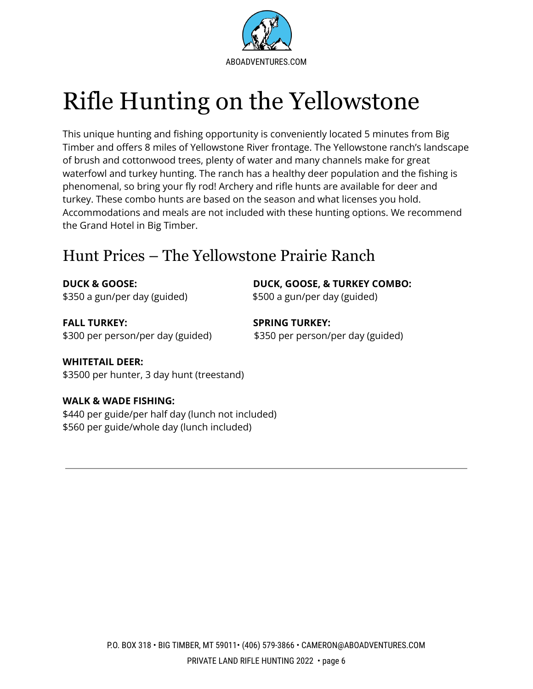

# <span id="page-7-0"></span>Rifle Hunting on the Yellowstone

This unique hunting and fishing opportunity is conveniently located 5 minutes from Big Timber and offers 8 miles of Yellowstone River frontage. The Yellowstone ranch's landscape of brush and cottonwood trees, plenty of water and many channels make for great waterfowl and turkey hunting. The ranch has a healthy deer population and the fishing is phenomenal, so bring your fly rod! Archery and rifle hunts are available for deer and turkey. These combo hunts are based on the season and what licenses you hold. Accommodations and meals are not included with these hunting options. We recommend the Grand Hotel in Big Timber.

### <span id="page-7-1"></span>Hunt Prices – The Yellowstone Prairie Ranch

\$350 a gun/per day (guided) \$500 a gun/per day (guided)

**DUCK & GOOSE: DUCK, GOOSE, & TURKEY COMBO:**

**FALL TURKEY: SPRING TURKEY:** \$300 per person/per day (guided) \$350 per person/per day (guided)

### **WHITETAIL DEER:**

\$3500 per hunter, 3 day hunt (treestand)

#### **WALK & WADE FISHING:**

\$440 per guide/per half day (lunch not included) \$560 per guide/whole day (lunch included)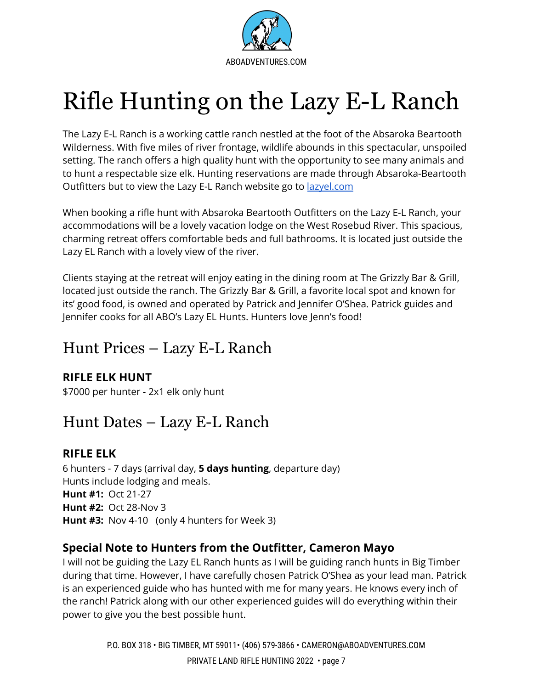

# <span id="page-8-0"></span>Rifle Hunting on the Lazy E-L Ranch

The Lazy E-L Ranch is a working cattle ranch nestled at the foot of the Absaroka Beartooth Wilderness. With five miles of river frontage, wildlife abounds in this spectacular, unspoiled setting. The ranch offers a high quality hunt with the opportunity to see many animals and to hunt a respectable size elk. Hunting reservations are made through Absaroka-Beartooth Outfitters but to view the Lazy E-L Ranch website go to [lazyel.com](http://www.lazyel.com)

When booking a rifle hunt with Absaroka Beartooth Outfitters on the Lazy E-L Ranch, your accommodations will be a lovely vacation lodge on the West Rosebud River. This spacious, charming retreat offers comfortable beds and full bathrooms. It is located just outside the Lazy EL Ranch with a lovely view of the river.

Clients staying at the retreat will enjoy eating in the dining room at The Grizzly Bar & Grill, located just outside the ranch. The Grizzly Bar & Grill, a favorite local spot and known for its' good food, is owned and operated by Patrick and Jennifer O'Shea. Patrick guides and Jennifer cooks for all ABO's Lazy EL Hunts. Hunters love Jenn's food!

### <span id="page-8-1"></span>Hunt Prices – Lazy E-L Ranch

### **RIFLE ELK HUNT**

\$7000 per hunter - 2x1 elk only hunt

### <span id="page-8-2"></span>Hunt Dates – Lazy E-L Ranch

### **RIFLE ELK**

6 hunters - 7 days (arrival day, **5 days hunting**, departure day) Hunts include lodging and meals. **Hunt #1:** Oct 21-27 **Hunt #2:** Oct 28-Nov 3 **Hunt #3:** Nov 4-10 (only 4 hunters for Week 3)

### **Special Note to Hunters from the Outfitter, Cameron Mayo**

I will not be guiding the Lazy EL Ranch hunts as I will be guiding ranch hunts in Big Timber during that time. However, I have carefully chosen Patrick O'Shea as your lead man. Patrick is an experienced guide who has hunted with me for many years. He knows every inch of the ranch! Patrick along with our other experienced guides will do everything within their power to give you the best possible hunt.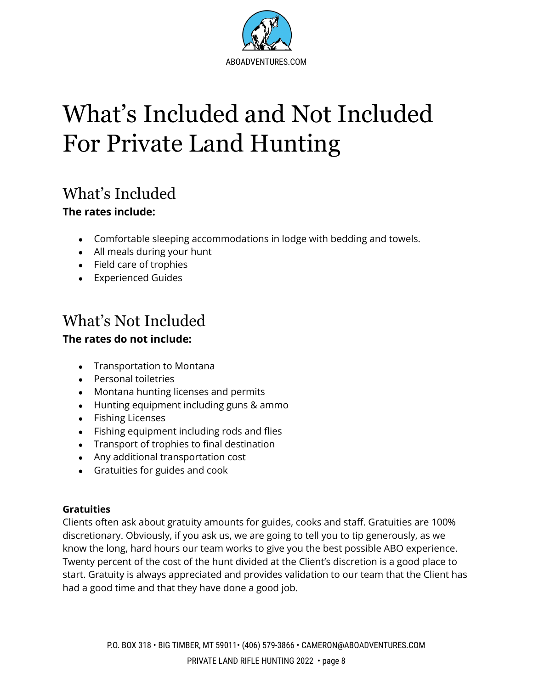

# <span id="page-9-0"></span>What's Included and Not Included For Private Land Hunting

## What's Included

### **The rates include:**

- Comfortable sleeping accommodations in lodge with bedding and towels.
- All meals during your hunt
- Field care of trophies
- Experienced Guides

# What's Not Included

### **The rates do not include:**

- Transportation to Montana
- Personal toiletries
- Montana hunting licenses and permits
- Hunting equipment including guns & ammo
- Fishing Licenses
- Fishing equipment including rods and flies
- Transport of trophies to final destination
- Any additional transportation cost
- Gratuities for guides and cook

#### **Gratuities**

Clients often ask about gratuity amounts for guides, cooks and staff. Gratuities are 100% discretionary. Obviously, if you ask us, we are going to tell you to tip generously, as we know the long, hard hours our team works to give you the best possible ABO experience. Twenty percent of the cost of the hunt divided at the Client's discretion is a good place to start. Gratuity is always appreciated and provides validation to our team that the Client has had a good time and that they have done a good job.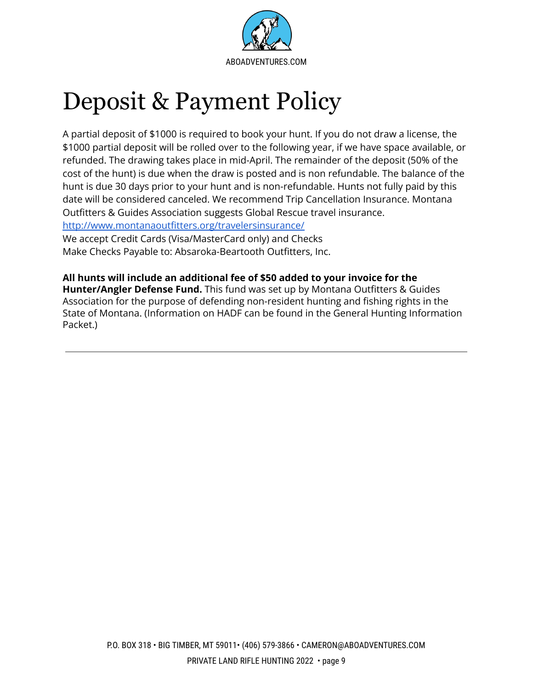

# <span id="page-10-0"></span>Deposit & Payment Policy

A partial deposit of \$1000 is required to book your hunt. If you do not draw a license, the \$1000 partial deposit will be rolled over to the following year, if we have space available, or refunded. The drawing takes place in mid-April. The remainder of the deposit (50% of the cost of the hunt) is due when the draw is posted and is non refundable. The balance of the hunt is due 30 days prior to your hunt and is non-refundable. Hunts not fully paid by this date will be considered canceled. We recommend Trip Cancellation Insurance. Montana Outfitters & Guides Association suggests Global Rescue travel insurance.

<http://www.montanaoutfitters.org/travelersinsurance/>

We accept Credit Cards (Visa/MasterCard only) and Checks Make Checks Payable to: Absaroka-Beartooth Outfitters, Inc.

**All hunts will include an additional fee of \$50 added to your invoice for the Hunter/Angler Defense Fund.** This fund was set up by Montana Outfitters & Guides Association for the purpose of defending non-resident hunting and fishing rights in the State of Montana. (Information on HADF can be found in the General Hunting Information Packet.)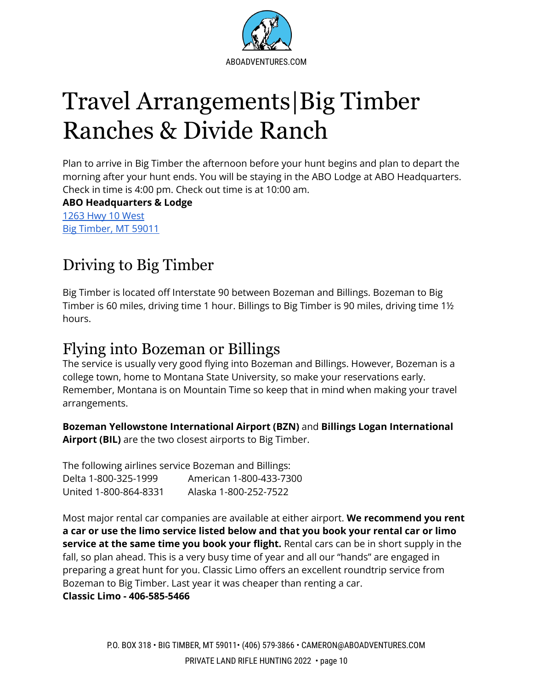

# <span id="page-11-0"></span>Travel Arrangements|Big Timber Ranches & Divide Ranch

Plan to arrive in Big Timber the afternoon before your hunt begins and plan to depart the morning after your hunt ends. You will be staying in the ABO Lodge at ABO Headquarters. Check in time is 4:00 pm. Check out time is at 10:00 am.

**ABO Headquarters & Lodge** 1263 Hwy 10 [West](https://www.google.com/maps/place/1263+Hwy+10+W,+Big+Timber,+MT+59011/@45.823528,-109.9893487,17z/data=!3m1!4b1!4m5!3m4!1s0x5345f27bbc27b54f:0xe6d25d9c9907cae0!8m2!3d45.823528!4d-109.98716) Big [Timber,](https://www.google.com/maps/place/1263+Hwy+10+W,+Big+Timber,+MT+59011/@45.823528,-109.9893487,17z/data=!3m1!4b1!4m5!3m4!1s0x5345f27bbc27b54f:0xe6d25d9c9907cae0!8m2!3d45.823528!4d-109.98716) MT 59011

## Driving to Big Timber

Big Timber is located off Interstate 90 between Bozeman and Billings. Bozeman to Big Timber is 60 miles, driving time 1 hour. Billings to Big Timber is 90 miles, driving time 1½ hours.

### Flying into Bozeman or Billings

The service is usually very good flying into Bozeman and Billings. However, Bozeman is a college town, home to Montana State University, so make your reservations early. Remember, Montana is on Mountain Time so keep that in mind when making your travel arrangements.

**Bozeman Yellowstone International Airport (BZN)** and **Billings Logan International Airport (BIL)** are the two closest airports to Big Timber.

The following airlines service Bozeman and Billings: Delta 1-800-325-1999 American 1-800-433-7300 United 1-800-864-8331 Alaska 1-800-252-7522

Most major rental car companies are available at either airport. **We recommend you rent a car or use the limo service listed below and that you book your rental car or limo service at the same time you book your flight.** Rental cars can be in short supply in the fall, so plan ahead. This is a very busy time of year and all our "hands" are engaged in preparing a great hunt for you. Classic Limo offers an excellent roundtrip service from Bozeman to Big Timber. Last year it was cheaper than renting a car.

**Classic Limo - 406-585-5466**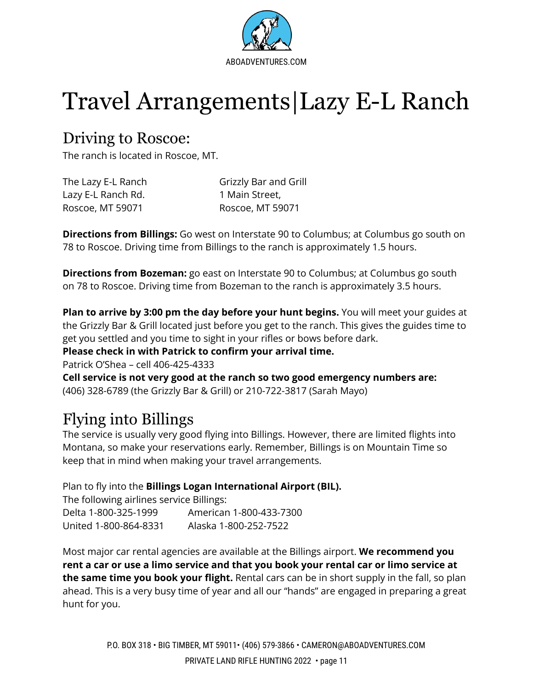

# <span id="page-12-0"></span>Travel Arrangements|Lazy E-L Ranch

### <span id="page-12-1"></span>Driving to Roscoe:

The ranch is located in Roscoe, MT.

| The Lazy E-L Ranch | Grizzly Bar and Grill |
|--------------------|-----------------------|
| Lazy E-L Ranch Rd. | 1 Main Street,        |
| Roscoe, MT 59071   | Roscoe, MT 59071      |

**Directions from Billings:** Go west on Interstate 90 to Columbus; at Columbus go south on 78 to Roscoe. Driving time from Billings to the ranch is approximately 1.5 hours.

**Directions from Bozeman:** go east on Interstate 90 to Columbus; at Columbus go south on 78 to Roscoe. Driving time from Bozeman to the ranch is approximately 3.5 hours.

**Plan to arrive by 3:00 pm the day before your hunt begins.** You will meet your guides at the Grizzly Bar & Grill located just before you get to the ranch. This gives the guides time to get you settled and you time to sight in your rifles or bows before dark.

#### **Please check in with Patrick to confirm your arrival time.**

Patrick O'Shea – cell 406-425-4333

**Cell service is not very good at the ranch so two good emergency numbers are:** (406) 328-6789 (the Grizzly Bar & Grill) or 210-722-3817 (Sarah Mayo)

## <span id="page-12-2"></span>Flying into Billings

The service is usually very good flying into Billings. However, there are limited flights into Montana, so make your reservations early. Remember, Billings is on Mountain Time so keep that in mind when making your travel arrangements.

Plan to fly into the **Billings Logan International Airport (BIL).**

The following airlines service Billings: Delta 1-800-325-1999 American 1-800-433-7300 United 1-800-864-8331 Alaska 1-800-252-7522

Most major car rental agencies are available at the Billings airport. **We recommend you rent a car or use a limo service and that you book your rental car or limo service at the same time you book your flight.** Rental cars can be in short supply in the fall, so plan ahead. This is a very busy time of year and all our "hands" are engaged in preparing a great hunt for you.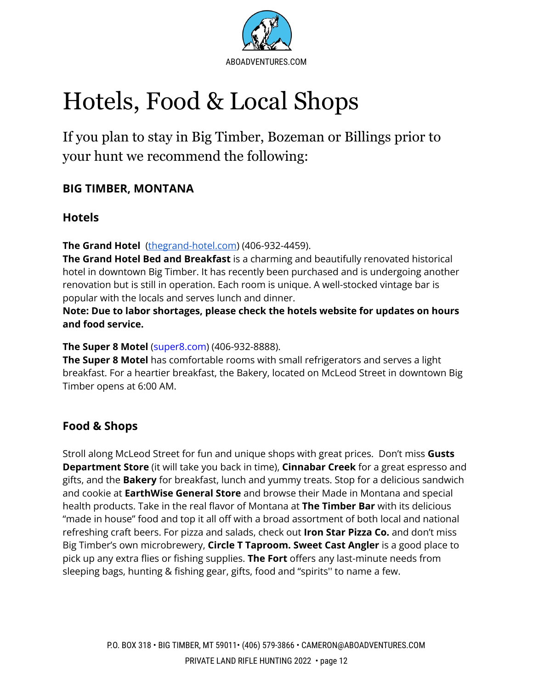

# <span id="page-13-0"></span>Hotels, Food & Local Shops

If you plan to stay in Big Timber, Bozeman or Billings prior to your hunt we recommend the following:

### **BIG TIMBER, MONTANA**

### **Hotels**

**The Grand Hotel** [\(thegrand-hotel.com\)](https://www.thegrand-hotel.com/) (406-932-4459).

**The Grand Hotel Bed and Breakfast** is a charming and beautifully renovated historical hotel in downtown Big Timber. It has recently been purchased and is undergoing another renovation but is still in operation. Each room is unique. A well-stocked vintage bar is popular with the locals and serves lunch and dinner.

**Note: Due to labor shortages, please check the hotels website for updates on hours and food service.**

**The Super 8 Motel** (super8.com) (406-932-8888).

**The Super 8 Motel** has comfortable rooms with small refrigerators and serves a light breakfast. For a heartier breakfast, the Bakery, located on McLeod Street in downtown Big Timber opens at 6:00 AM.

### **Food & Shops**

Stroll along McLeod Street for fun and unique shops with great prices. Don't miss **Gusts Department Store** (it will take you back in time), **Cinnabar Creek** for a great espresso and gifts, and the **Bakery** for breakfast, lunch and yummy treats. Stop for a delicious sandwich and cookie at **EarthWise General Store** and browse their Made in Montana and special health products. Take in the real flavor of Montana at **The Timber Bar** with its delicious "made in house" food and top it all off with a broad assortment of both local and national refreshing craft beers. For pizza and salads, check out **Iron Star Pizza Co.** and don't miss Big Timber's own microbrewery, **Circle T Taproom. Sweet Cast Angler** is a good place to pick up any extra flies or fishing supplies. **The Fort** offers any last-minute needs from sleeping bags, hunting & fishing gear, gifts, food and "spirits'' to name a few.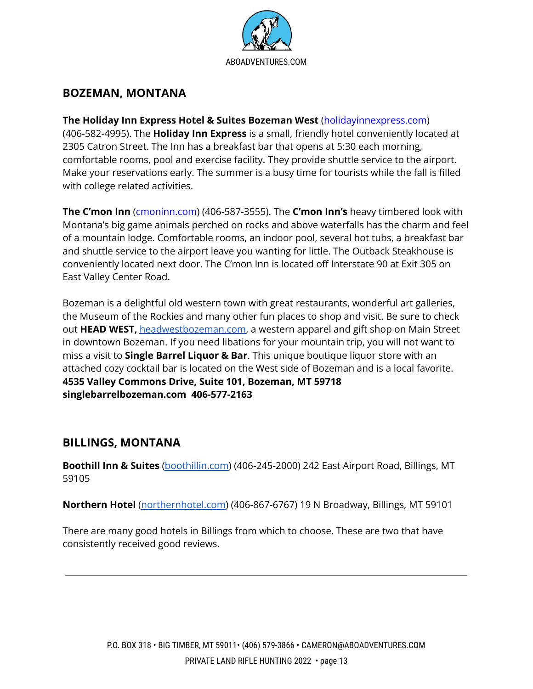

### **BOZEMAN, MONTANA**

#### **The Holiday Inn Express Hotel & Suites Bozeman West** (holidayinnexpress.com)

(406-582-4995). The **Holiday Inn Express** is a small, friendly hotel conveniently located at 2305 Catron Street. The Inn has a breakfast bar that opens at 5:30 each morning, comfortable rooms, pool and exercise facility. They provide shuttle service to the airport. Make your reservations early. The summer is a busy time for tourists while the fall is filled with college related activities.

**The C'mon Inn** (cmoninn.com) (406-587-3555). The **C'mon Inn's** heavy timbered look with Montana's big game animals perched on rocks and above waterfalls has the charm and feel of a mountain lodge. Comfortable rooms, an indoor pool, several hot tubs, a breakfast bar and shuttle service to the airport leave you wanting for little. The Outback Steakhouse is conveniently located next door. The C'mon Inn is located off Interstate 90 at Exit 305 on East Valley Center Road.

Bozeman is a delightful old western town with great restaurants, wonderful art galleries, the Museum of the Rockies and many other fun places to shop and visit. Be sure to check out **HEAD WEST,** [headwestbozeman.com,](http://www.headwestbozeman.com) a western apparel and gift shop on Main Street in downtown Bozeman. If you need libations for your mountain trip, you will not want to miss a visit to **Single Barrel Liquor & Bar**. This unique boutique liquor store with an attached cozy cocktail bar is located on the West side of Bozeman and is a local favorite. **4535 Valley Commons Drive, Suite 101, Bozeman, MT 59718 singlebarrelbozeman.com 406-577-2163**

#### <span id="page-14-0"></span>**BILLINGS, MONTANA**

**Boothill Inn & Suites** [\(boothillin.com\)](http://www.boothillin.com) (406-245-2000) 242 East Airport Road, Billings, MT 59105

**Northern Hotel** [\(northernhotel.com](http://www.northernhotel.com)) (406-867-6767) 19 N Broadway, Billings, MT 59101

There are many good hotels in Billings from which to choose. These are two that have consistently received good reviews.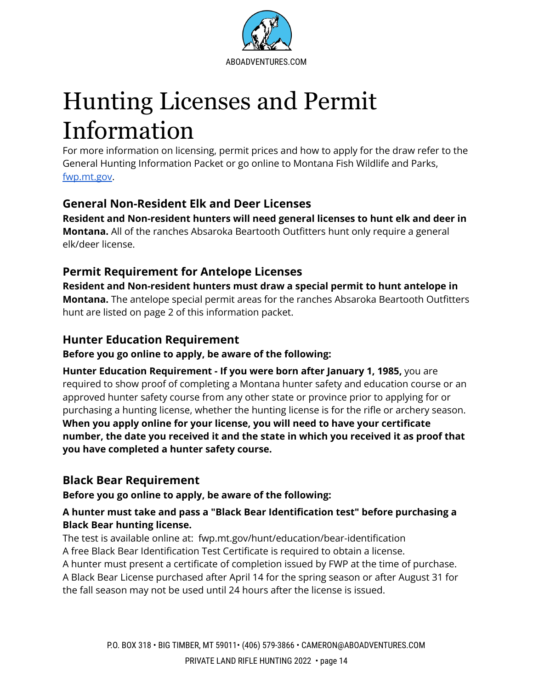

# Hunting Licenses and Permit Information

<span id="page-15-0"></span>For more information on licensing, permit prices and how to apply for the draw refer to the General Hunting Information Packet or go online to Montana Fish Wildlife and Parks, [fwp.mt.gov.](http://www.fwp.mt.gov)

### <span id="page-15-1"></span>**General Non-Resident Elk and Deer Licenses**

**Resident and Non-resident hunters will need general licenses to hunt elk and deer in Montana.** All of the ranches Absaroka Beartooth Outfitters hunt only require a general elk/deer license.

### **Permit Requirement for Antelope Licenses**

**Resident and Non-resident hunters must draw a special permit to hunt antelope in Montana.** The antelope special permit areas for the ranches Absaroka Beartooth Outfitters hunt are listed on page 2 of this information packet.

### <span id="page-15-2"></span>**Hunter Education Requirement**

**Before you go online to apply, be aware of the following:**

**Hunter Education Requirement - If you were born after January 1, 1985,** you are required to show proof of completing a Montana hunter safety and education course or an approved hunter safety course from any other state or province prior to applying for or purchasing a hunting license, whether the hunting license is for the rifle or archery season. **When you apply online for your license, you will need to have your certificate number, the date you received it and the state in which you received it as proof that you have completed a hunter safety course.**

### <span id="page-15-3"></span>**Black Bear Requirement**

**Before you go online to apply, be aware of the following:**

#### **A hunter must take and pass a "Black Bear Identification test" before purchasing a Black Bear hunting license.**

The test is available online at: fwp.mt.gov/hunt/education/bear-identification A free Black Bear Identification Test Certificate is required to obtain a license.

A hunter must present a certificate of completion issued by FWP at the time of purchase. A Black Bear License purchased after April 14 for the spring season or after August 31 for the fall season may not be used until 24 hours after the license is issued.